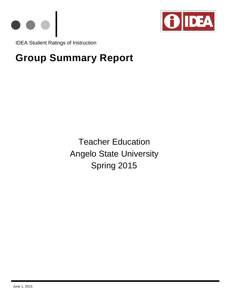



IDEA Student Ratings of Instruction

# **Group Summary Report**

Teacher Education Angelo State University Spring 2015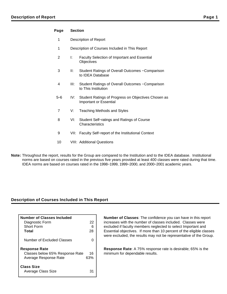## **Page Section**

- 1 Description of Report
- 1 Description of Courses Included in This Report
- 2 I: Faculty Selection of Important and Essential **Objectives**
- 3 II: Student Ratings of Overall Outcomes − Comparison to IDEA Database
- 4 III: Student Ratings of Overall Outcomes − Comparison to This Institution
- 5−6 IV: Student Ratings of Progress on Objectives Chosen as Important or Essential
- 7 V: Teaching Methods and Styles
- 8 VI: Student Self−ratings and Ratings of Course **Characteristics**
- 9 VII: Faculty Self–report of the Institutional Context
- 10 VIII: Additional Questions
- **Note:** Throughout the report, results for the Group are compared to the Institution and to the IDEA database. Institutional norms are based on courses rated in the previous five years provided at least 400 classes were rated during that time. IDEA norms are based on courses rated in the 1998−1999, 1999−2000, and 2000−2001 academic years.

## **Description of Courses Included in This Report**

| <b>Number of Classes Included</b> |     |
|-----------------------------------|-----|
| Diagnostic Form                   | 22  |
| Short Form                        |     |
| Total                             | 28  |
| Number of Excluded Classes        |     |
| <b>Response Rate</b>              |     |
| Classes below 65% Response Rate   | 16  |
| Average Response Rate             | 63% |
| <b>Class Size</b>                 |     |
| Average Class Size                |     |

**Number of Classes**: The confidence you can have in this report increases with the number of classes included. Classes were excluded if faculty members neglected to select Important and Essential objectives. If more than 10 percent of the eligible classes were excluded, the results may not be representative of the Group.

**Response Rate**: A 75% response rate is desirable; 65% is the minimum for dependable results.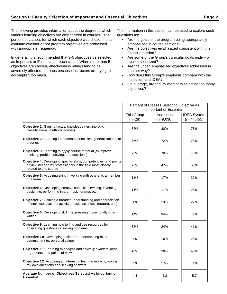The following provides information about the degree to which various learning objectives are emphasized in courses. The percent of classes for which each objective was chosen helps evaluate whether or not program objectives are addressed with appropriate frequency.

In general, it is recommended that 3−5 objectives be selected as Important or Essential for each class. When more than 5 objectives are chosen, effectiveness ratings tend to be adversely affected, perhaps because instructors are trying to accomplish too much.

The information in this section can be used to explore such questions as:

- Are the goals of the program being appropriately emphasized in course sections?
- Are the objectives emphasized consistent with this Group's mission?
- Are some of the Group's curricular goals under− or over−emphasized?
- Are the under−emphasized objectives addressed in another way?
- How does this Group's emphasis compare with the Institution and IDEA?
- On average, are faculty members selecting too many objectives?

|                                                                                                                                                          | Percent of Classes Selecting Objective as |             |                    |  |  |
|----------------------------------------------------------------------------------------------------------------------------------------------------------|-------------------------------------------|-------------|--------------------|--|--|
|                                                                                                                                                          | <b>Important or Essential</b>             |             |                    |  |  |
|                                                                                                                                                          | This Group                                | Institution | <b>IDEA</b> System |  |  |
|                                                                                                                                                          | $(n=28)$                                  | $(n=9,630)$ | $(n=44, 455)$      |  |  |
| Objective 1: Gaining factual knowledge (terminology,<br>classifications, methods, trends)                                                                | 82%                                       | 80%         | 78%                |  |  |
| Objective 2: Learning fundamental principles, generalizations, or<br>theories                                                                            | 75%                                       | 72%         | 75%                |  |  |
| <b>Objective 3:</b> Learning to apply course material (to improve<br>thinking, problem solving, and decisions)                                           | 79%                                       | 70%         | 75%                |  |  |
| Objective 4: Developing specific skills, competencies, and points<br>of view needed by professionals in the field most closely<br>related to this course | 75%                                       | 47%         | 55%                |  |  |
| <b>Objective 5:</b> Acquiring skills in working with others as a member<br>of a team                                                                     | 11%                                       | 17%         | 32%                |  |  |
| Objective 6: Developing creative capacities (writing, inventing,<br>designing, performing in art, music, drama, etc.)                                    | 11%                                       | 11%         | 25%                |  |  |
| <b>Objective 7:</b> Gaining a broader understanding and appreciation<br>of intellectual/cultural activity (music, science, literature, etc.)             | 4%                                        | 13%         | 27%                |  |  |
| Objective 8: Developing skill in expressing myself orally or in<br>writing                                                                               | 14%                                       | 34%         | 47%                |  |  |
| Objective 9: Learning how to find and use resources for<br>answering questions or solving problems                                                       | 32%                                       | 24%         | 41%                |  |  |
| Objective 10: Developing a clearer understanding of, and<br>commitment to, personal values                                                               | 4%                                        | 10%         | 23%                |  |  |
| <b>Objective 11:</b> Learning to analyze and critically evaluate ideas,<br>arguments, and points of view                                                 | 18%                                       | 30%         | 49%                |  |  |
| Objective 12: Acquiring an interest in learning more by asking<br>my own questions and seeking answers                                                   | 4%                                        | 17%         | 41%                |  |  |
| Average Number of Objectives Selected As Important or<br><b>Essential</b>                                                                                | 4.1                                       | 4.3         | 5.7                |  |  |
|                                                                                                                                                          |                                           |             |                    |  |  |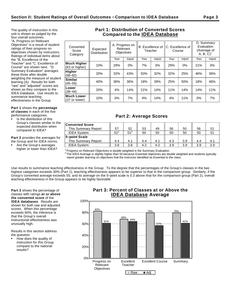The quality of instruction in this unit is shown as judged by the four overall outcomes. "A. Progress on Relevant Objectives" is a result of student ratings of their progress on objectives chosen by instructors. Ratings of individual items about the "B. Excellence of the Teacher" and "C. Excellence of Course" are shown next. "D. Summary Evaluation" averages these three after double weighting the measure of student learning (A). Results for both "raw" and "adjusted" scores are shown as they compare to the IDEA Database. Use results to

**Part 1** shows the **percentage of classes** in each of the five

performance categories.

summarize teaching effectiveness in the Group.

Is the distribution of this Group's classes similar to the expected distribution when compared to IDEA?

**Part 2** provides the averages for the Group and for IDEA norms.

Are the Group's averages higher or lower than IDEA?

# **Part 1: Distribution of Converted Scores Compared to the IDEA Database**

| Converted<br>Score<br>Category     | Expected<br><b>Distribution</b> | A. Progress on<br>Relevant<br><b>Objectives</b> |        |     | B. Excellence of<br>Teacher |     | C. Excellence of<br>Course |     | D. Summary<br>Evaluation<br>(Average of<br>$A, B, C$ <sup>1</sup> |  |
|------------------------------------|---------------------------------|-------------------------------------------------|--------|-----|-----------------------------|-----|----------------------------|-----|-------------------------------------------------------------------|--|
|                                    |                                 | Raw                                             | Adjstd | Raw | Adjstd                      | Raw | Adjstd                     | Raw | Adjstd                                                            |  |
| Much Higher<br>(63 or higher)      | 10%                             | 29%                                             | $0\%$  | 7%  | $0\%$                       | 29% | 0%                         | 21% | $0\%$                                                             |  |
| Higher<br>$(56 - 62)$              | 20%                             | 32%                                             | 43%    | 50% | 32%                         | 32% | 25%                        | 46% | 36%                                                               |  |
| Similar<br>$(45 - 55)$             | 40%                             | 36%                                             | 36%    | 18% | 39%                         | 25% | 50%                        | 18% | 46%                                                               |  |
| Lower<br>$(38 - 44)$               | 20%                             | 4%                                              | 14%    | 21% | 14%                         | 11% | 14%                        | 14% | 11%                                                               |  |
| <b>Much Lower</b><br>(37 or lower) | 10%                             | 0%                                              | 7%     | 4%  | 14%                         | 4%  | 11%                        | 0%  | 7%                                                                |  |
|                                    |                                 |                                                 |        |     |                             |     |                            |     |                                                                   |  |

# **Part 2: Average Scores**

| <b>Converted Score</b><br>This Summary Report | 57              | 52              | 53  | 49  | 56  | 50  | 56  | 51  |
|-----------------------------------------------|-----------------|-----------------|-----|-----|-----|-----|-----|-----|
| <b>IDEA System</b>                            | 51 <sup>2</sup> | 51 <sup>2</sup> | 50  | 50  | 50  | 50  | 50  |     |
| 5-point Scale                                 |                 |                 |     |     |     |     |     |     |
| This Summary Report                           | 4.4             | 4.1             | 4.4 | 4.1 | 4.3 | 3.9 | 4.4 | 4.1 |
| <b>IDEA System</b>                            | 3.8             | 3.8             | 4.2 | 4.2 | 3.9 | 3.9 | 3.9 | 3.9 |

 $1$ Progress on Relevant Objectives is double weighted in the Summary Evaluation.

 $^2$  The IDEA Average is slightly higher than 50 because Essential objectives are double weighted and students typically report greater learning on objectives that the instructor identified as Essential to the class.

Use results to summarize teaching effectiveness in the Group. To the degree that the percentages of the Group's classes in the two highest categories exceeds 30% (Part 1), teaching effectiveness appears to be superior to that in the comparison group. Similarly, if the Group's converted average exceeds 55, and its average on the 5−point scale is 0.3 above that for the comparison group (Part 2), overall teaching effectiveness in the Group appears to be highly favorable.

**Part 3** shows the percentage of classes with ratings **at or above the converted score** of the **IDEA databases**. Results are shown for both raw and adjusted scores. When this percentage exceeds 60%, the inference is that the Group's overall instructional effectiveness was unusually high.

Results in this section address the question:

How does the quality of instruction for this Group compare to the national results?

# **Part 3: Percent of Classes at or Above the IDEA Database Average**

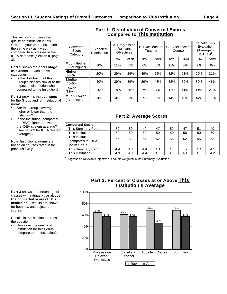This section compares the quality of instruction in this Group to your entire Institution in the same way as it was compared to all classes in the IDEA database (Section II, page 3).

**Part 1** shows the **percentage of classes** in each of five categories.

Is the distribution of this Group's classes similar to the expected distribution when compared to the Institution?

**Similar**

**Lower**<br>(38–44)

**Much Lower**

**Part 2** provides the **averages** for the Group and for Institutional norms.

- Are the Group's averages higher or lower than the Institution?
- Is the Institution (compared to IDEA) higher or lower than the IDEA system average? (See page 3 for IDEA System averages.)

Note: Institutional norms are based on courses rated in the previous five years.

| Converted<br>Score<br>Category       | Expected<br><b>Distribution</b> | A. Progress on<br>Relevant<br><b>Objectives</b> |                             | Teacher                     |                             | B. Excellence of IIC. Excellence of I<br>Course |                   | D. Summary<br>Evaluation<br>(Average of<br>A, B, C |                   |
|--------------------------------------|---------------------------------|-------------------------------------------------|-----------------------------|-----------------------------|-----------------------------|-------------------------------------------------|-------------------|----------------------------------------------------|-------------------|
|                                      |                                 | Raw                                             | Adjstd                      | Raw                         | Adjstd                      | Raw                                             | Adjstd            | Raw                                                | Adjstd            |
| <b>Much Higher</b><br>(63 or higher) | 10%                             | 11%                                             | $0\%$                       | $0\%$                       | 0%                          | 11%                                             | 0%                | 7%                                                 | 0%                |
| Hiaher                               | $\sim$ $\sim$ $\sim$ $\sim$     | $\sim$ $\sim$ $\sim$ $\sim$                     | $\sim$ $\sim$ $\sim$ $\sim$ | $\sim$ $\sim$ $\sim$ $\sim$ | $\sim$ $\sim$ $\sim$ $\sim$ | $\sim$ $\sim$ $\sim$ $\sim$                     | $\sim$ . $\sim$ . | $\sim$ $\sim$ $\sim$ $\sim$                        | $\sim$ . $\sim$ . |

(56−62) 20% 29% 29% 39% 25% 32% 21% 29% 21%

(45−55) 40% 39% 39% 29% 43% 32% 50% 39% 46%

(38−44) 20% 18% 25% 7% 7% 11% 11% 11% 21%

**Much Lower**  $\begin{array}{|c|c|c|c|c|}\n\hline\n(37 \text{ or lower}) & 10\% & 4\% & 7\% & 25\% & 25\% & 14\% & 18\% & 18\% & 14\% & 11\% \\
\hline\n\end{array}$ 

**Part 2: Average Scores**

## **Part 1: Distribution of Converted Scores Compared to This Institution**

| <b>Converted Score</b>                 |     |     |     |     |     |     |     |     |
|----------------------------------------|-----|-----|-----|-----|-----|-----|-----|-----|
| This Summary Report                    | 52  | 50  | 49  | 47  | 52  | 47  | 51  | 49  |
| This Institution                       | 50  | 50  | 50  | 50  | 50  | 50  | 50  | 50  |
| This Institution<br>(compared to IDEA) | 56  | 53  | 54  | 52  | 55  | 52  | 55  | 53  |
| 5-point Scale                          |     |     |     |     |     |     |     |     |
| This Summary Report                    | 4.4 | 4.1 | 4.4 | 4.1 | 4.3 | 3.9 | 4.4 | 4.1 |
| This Institution                       | 4.3 | 4.1 | 4.4 | 4.3 | 4.2 | 4.1 | 4.3 | 4.2 |

<sup>1</sup> Progress on Relevant Objectives is double weighted in the Summary Evaluation.

**Part 3** shows the percentage of classes with ratings **at or above the converted score** of **This Institution**. Results are shown for both raw and adjusted scores.

Results in this section address the question:

How does the quality of instruction for this Group compare to the Institution?

# **Part 3: Percent of Classes at or Above This Institution's Average**

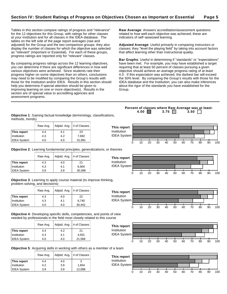**This report**

Institution IDEA System

Tables in this section compare ratings of progress and "relevance" for the 12 objectives for this Group, with ratings for other classes at your institution and for all classes in the IDEA database. The tables on the left side of the page report averages (raw and adjusted) for the Group and the two comparison groups; they also display the number of classes for which the objective was selected as "relevant" (Important or Essential). For each of these groups, progress ratings are reported only for "relevant" classes.

By comparing progress ratings across the 12 learning objectives, you can determine if there are significant differences in how well various objectives were achieved. Since students rate their progress higher on some objectives than on others, conclusions may need to be modified by comparing the Group's results with those for the Institution and/or IDEA. Results in this section should help you determine if special attention should be given to improving learning on one or more objective(s). Results in the section are of special value to accrediting agencies and assessment programs.

**Raw Average**: Answers accreditation/assessment questions related to how well each objective was achieved; these are indicators of self−assessed learning.

**Adjusted Average**: Useful primarily in comparing instructors or classes; they "level the playing field" by taking into account factors that affect learning other than instructional quality.

**Bar Graphs**: Useful in determining if "standards" or "expectations" have been met. For example, you may have established a target requiring that at least 50 percent of classes pursuing a given objective should achieve an average progress rating of at least 4.0. If this expectation was achieved, the darkest bar will exceed the 50% level. By comparing the Group's results with those for the IDEA database and the Institution, you can also make inferences about the rigor of the standards you have established for the Group.

**Percent of classes where Raw Average was at least: 4.00 3.75 3.50** 

**Objective 1**: Gaining factual knowledge (terminology, classifications, methods, trends)

|                    | Raw Avg. | Adjstd. Avg. | # of Classes |
|--------------------|----------|--------------|--------------|
| This report        | 4.4      | 4.1          | 23           |
| Institution        | 4.3      | 4.2          | 7,692        |
| <b>IDEA System</b> | 4.0      | 4.0          | 31,991       |

**Objective 2**: Learning fundamental principles, generalizations, or theories

|                    | Raw Avg. | Adjstd. Avg. | # of Classes |
|--------------------|----------|--------------|--------------|
| This report        | 4.3      | 4.0          | 21           |
| Institution        | 4.3      | 4.1          | 6.904        |
| <b>IDEA System</b> | 3.9      | 3.9          | 30,398       |

**Objective 3**: Learning to apply course material (to improve thinking, problem solving, and decisions)

|                    | Raw Avg. | Adjstd. Avg. | # of Classes |
|--------------------|----------|--------------|--------------|
| This report        | 4.3      | 4.0          | 22           |
| Institution        | 4.3      | 4.1          | 6.740        |
| <b>IDEA System</b> | 4.0      | 4.0          | 30.442       |

**Objective 4**: Developing specific skills, competencies, and points of view needed by professionals in the field most closely related to this course

|                    | Raw Avg. | Adjstd. Avg. | # of Classes |
|--------------------|----------|--------------|--------------|
| This report        | 4.4      | 4.2          | 21           |
| Institution        | 4.3      | 4.1          | 4.501        |
| <b>IDEA System</b> | 4.0      | 4.0          | 21,568       |



**Objective 5**: Acquiring skills in working with others as a member of a team

|                    | Raw Avg. | Adjstd. Avg. | # of Classes |
|--------------------|----------|--------------|--------------|
| This report        | 4.4      | 4.0          | -3           |
| Institution        | 4.2      | 3.9          | 1.654        |
| <b>IDEA System</b> | 3.9      | 3.9          | 12,088       |



# Institution IDEA System 0 10 20 30 40 50 60 70 80 90 100





0 10 20 30 40 50 60 70 80 90 100

0 10 20 30 40 50 60 70 80 90 100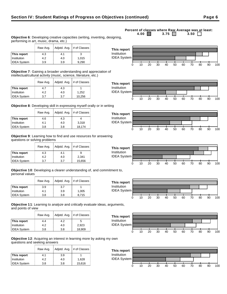#### **This report**  $\begin{array}{|c|c|c|c|} 4.3 & 4.1 & 3 \end{array}$ **Institution** | 4.2 | 4.0 | 1,015 IDEA System 3.9 3.9 9,290

Raw Avg.  $\vert$  Adjstd. Avg.  $\vert \#$  of Classes

**Objective 7**: Gaining a broader understanding and appreciation of intellectual/cultural activity (music, science, literature, etc.)

|                    | Raw Avg. | Adjstd. Avg. | # of Classes |
|--------------------|----------|--------------|--------------|
| This report        | 4.7      | 4.3          |              |
| Institution        | 4.2      | 4.0          | 1,252        |
| <b>IDEA System</b> | 3.7      | 3.7          | 10,256       |

performing in art, music, drama, etc.)

**Objective 8**: Developing skill in expressing myself orally or in writing

|                    | Raw Avg. | Adistd. Avg. | # of Classes |
|--------------------|----------|--------------|--------------|
| This report        | 4.6      | 4.3          |              |
| Institution        | 4.1      | 4.0          | 3,318        |
| <b>IDEA System</b> | 3.8      | 3.8          | 18,174       |

**Objective 9**: Learning how to find and use resources for answering questions or solving problems

|                    | Raw Avg. | Adjstd. Avg. | # of Classes |
|--------------------|----------|--------------|--------------|
| This report        | 4.3      | 4.1          |              |
| Institution        | 4.2      | 4.0          | 2,341        |
| <b>IDEA System</b> | 3.7      | 3.7          | 15,656       |

**Objective 10**: Developing a clearer understanding of, and commitment to, personal values

|                    | Raw Avg. | Adjstd. Avg. | # of Classes |
|--------------------|----------|--------------|--------------|
| This report        | 3.9      | 3.7          |              |
| Institution        | 4.1      | 3.9          | 1,005        |
| <b>IDEA System</b> | 3.8      | 3.8          | 8.715        |

**Objective 11**: Learning to analyze and critically evaluate ideas, arguments, and points of view

|                    | Raw Avg. | Adjstd. Avg. | # of Classes |
|--------------------|----------|--------------|--------------|
| This report        | 44       | 4.2          | 5            |
| Institution        | 4.2      | 4.0          | 2,923        |
| <b>IDEA System</b> | 3.8      | 3.8          | 18,909       |

**Objective 12**: Acquiring an interest in learning more by asking my own questions and seeking answers

|                    | Raw Avg. | Adjstd. Avg. | # of Classes |
|--------------------|----------|--------------|--------------|
| This report        | 4.1      | 3.9          |              |
| Institution        | 4.2      | 4.0          | 1.628        |
| <b>IDEA System</b> | 3.8      | 3.8          | 15,616       |

#### **Percent of classes where Raw Average was at least:**<br>4.00 3.75 3.50 3.50 3.75  $\Box$ **Objective 6**: Developing creative capacities (writing, inventing, designing,

















Institution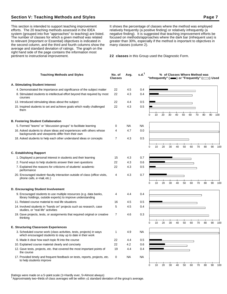## **Section V: Teaching Methods and Styles Page 7**

This section is intended to support teaching improvement efforts. The 20 teaching methods assessed in the IDEA system (grouped into five "approaches" to teaching) are listed. The number of classes for which a given method was related to relevant (Important or Essential) objectives is indicated in the second column, and the third and fourth columns show the average and standard deviation of ratings. The graph on the right hand side of the page contains the information most pertinent to instructional improvement.

It shows the percentage of classes where the method was employed relatively frequently (a positive finding) or relatively infrequently (a negative finding). It is suggested that teaching improvement efforts be focused on methods/approaches where the dark bar (infrequent use) is greater than 30%, especially if the method is important to objectives in many classes (column 2).

**22 classes** in this Group used the Diagnostic Form.

| <b>Teaching Methods and Styles</b>                                                                                                 | No. of<br><b>Classes</b> | Avg.      | s.d. <sup>1</sup> |          |    |    | % of Classes Where Method was |    |    |    |    |    | "Infrequently" ( $\equiv$ ) or "Frequently" ( $\equiv$ ) Used |     |
|------------------------------------------------------------------------------------------------------------------------------------|--------------------------|-----------|-------------------|----------|----|----|-------------------------------|----|----|----|----|----|---------------------------------------------------------------|-----|
| A. Stimulating Student Interest                                                                                                    |                          |           |                   |          |    |    |                               |    |    |    |    |    |                                                               |     |
| 4. Demonstrated the importance and significance of the subject matter                                                              | 22                       | 4.5       | 0.4               |          |    |    |                               |    |    |    |    |    |                                                               |     |
| 8. Stimulated students to intellectual effort beyond that required by most<br>courses                                              | 22                       | 4.3       | 0.4               |          |    |    |                               |    |    |    |    |    |                                                               |     |
| 13. Introduced stimulating ideas about the subject                                                                                 | 22                       | 4.4       | 0.5               |          |    |    |                               |    |    |    |    |    |                                                               |     |
| 15. Inspired students to set and achieve goals which really challenged<br>them                                                     | 22                       | 4.3       | 0.5               |          |    |    |                               |    |    |    |    |    |                                                               |     |
|                                                                                                                                    |                          |           |                   | 0        | 10 | 20 | 30                            | 40 | 50 | 60 | 70 | 80 | 90                                                            | 100 |
| <b>B. Fostering Student Collaboration</b>                                                                                          |                          |           |                   |          |    |    |                               |    |    |    |    |    |                                                               |     |
| 5. Formed "teams" or "discussion groups" to facilitate learning                                                                    | 0                        | <b>NA</b> | <b>NA</b>         |          |    |    |                               |    |    |    |    |    |                                                               |     |
| 16. Asked students to share ideas and experiences with others whose<br>backgrounds and viewpoints differ from their own            | 4                        | 4.7       | 0.0               |          |    |    |                               |    |    |    |    |    |                                                               |     |
| 18. Asked students to help each other understand ideas or concepts                                                                 | $\overline{7}$           | 4.3       | 0.5               |          |    |    |                               |    |    |    |    |    |                                                               |     |
|                                                                                                                                    |                          |           |                   | $\Omega$ | 10 | 20 | 30                            | 40 | 50 | 60 | 70 | 80 | 90                                                            | 100 |
| <b>C. Establishing Rapport</b>                                                                                                     |                          |           |                   |          |    |    |                               |    |    |    |    |    |                                                               |     |
| 1. Displayed a personal interest in students and their learning                                                                    | 15                       | 4.3       | 0.7               |          |    |    |                               |    |    |    |    |    |                                                               |     |
| 2. Found ways to help students answer their own questions                                                                          | 22                       | 4.3       | 0.6               |          |    |    |                               |    |    |    |    |    |                                                               |     |
| 7. Explained the reasons for criticisms of students' academic<br>performance                                                       | 22                       | 4.3       | 0.5               |          |    |    |                               |    |    |    |    |    |                                                               |     |
| 20. Encouraged student-faculty interaction outside of class (office visits,<br>phone calls, e-mail, etc.)                          | 4                        | 4.3       | 0.7               | 0        | 10 |    |                               |    |    |    |    | 80 |                                                               |     |
|                                                                                                                                    |                          |           |                   |          |    | 20 | 30                            | 40 | 50 | 60 | 70 |    | 90                                                            | 100 |
| D. Encouraging Student Involvement                                                                                                 |                          |           |                   |          |    |    |                               |    |    |    |    |    |                                                               |     |
| 9. Encouraged students to use multiple resources (e.g. data banks,<br>library holdings, outside experts) to improve understanding  | 4                        | 4.4       | 0.4               |          |    |    |                               |    |    |    |    |    |                                                               |     |
| 11. Related course material to real life situations                                                                                | 16                       | 4.5       | 0.5               |          |    |    |                               |    |    |    |    |    |                                                               |     |
| 14. Involved students in "hands on" projects such as research, case<br>studies, or "real life" activities                          | 5                        | 4.5       | 0.4               |          |    |    |                               |    |    |    |    |    |                                                               |     |
| 19. Gave projects, tests, or assignments that required original or creative<br>thinking                                            | 7                        | 4.6       | 0.3               |          |    |    |                               |    |    |    |    |    |                                                               |     |
|                                                                                                                                    |                          |           |                   | 0        | 10 | 20 | 30                            | 40 | 50 | 60 | 70 | 80 | 90                                                            | 100 |
| <b>E. Structuring Classroom Experiences</b>                                                                                        |                          |           |                   |          |    |    |                               |    |    |    |    |    |                                                               |     |
| 3. Scheduled course work (class activities, tests, projects) in ways<br>which encouraged students to stay up to date in their work | 1                        | 4.9       | NA                |          |    |    |                               |    |    |    |    |    |                                                               |     |
| 6. Made it clear how each topic fit into the course                                                                                | 22                       | 4.4       | 0.5               |          |    |    |                               |    |    |    |    |    |                                                               |     |
| 10. Explained course material clearly and concisely                                                                                | 22                       | 4.2       | 0.6               |          |    |    |                               |    |    |    |    |    |                                                               |     |
| 12. Gave tests, projects, etc. that covered the most important points of<br>the course                                             | 19                       | 4.4       | 0.4               |          |    |    |                               |    |    |    |    |    |                                                               |     |
| 17. Provided timely and frequent feedback on tests, reports, projects, etc.<br>to help students improve                            | 0                        | NA        | <b>NA</b>         |          |    |    |                               |    |    |    |    |    |                                                               |     |
|                                                                                                                                    |                          |           |                   | 0        | 10 | 20 | 30                            | 40 | 50 | 60 | 70 | 80 | 90                                                            | 100 |

Ratings were made on a 5−point scale (1=Hardly ever, 5=Almost always)

<sup>1</sup>Approximately two−thirds of class averages will be within 1 standard deviation of the group's average.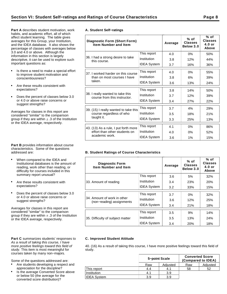**Part A** describes student motivation, work habits, and academic effort, all of which affect student learning. The table gives averages for this Group, your Institution, and the IDEA database. It also shows the percentage of classes with averages below 3.0 and 4.0 or above. Although the information in this section is largely descriptive, it can be used to explore such important questions as:

- Is there a need to make a special effort to improve student motivation and conscientiousness?
- Are these results consistent with expectations?
- Does the percent of classes below 3.0  $\bullet$ or 4.0 or above raise concerns or suggest strengths?

Averages for classes in this report are considered "similar" to the comparison group if they are within  $\pm$  .3 of the Institution or the IDEA average, respectively.

**Part B** provides information about course characteristics. Some of the questions addressed are:

- When compared to the IDEA and Institutional databases is the amount of reading, work other than reading, or difficulty for courses included in this summary report unusual?
- Are these results consistent with expectations?
- Does the percent of classes below 3.0 or 4.0 or above raise concerns or suggest strengths?

Averages for classes in this report are considered "similar" to the comparison group if they are within  $\pm$  .3 of the Institution or the IDEA average, respectively.

#### Part C summarizes students' responses to As a result of taking this course, I have more positive feelings toward this field of study. This item is most meaningful for courses taken by many non−majors.

Some of the questions addressed are:

- Are students developing a respect and appreciation for the discipline?
- Is the average Converted Score above or below 50 (the average for the converted score distribution)?

|  | A. Student Self-ratings |
|--|-------------------------|
|  |                         |

| Diagnostic Form (Short Form)<br><b>Item Number and Item</b>      |                    | Average | $%$ of<br><b>Classes</b><br>Below 3.0 | % of<br><b>Classes</b><br>$4.0$ or<br>Above |
|------------------------------------------------------------------|--------------------|---------|---------------------------------------|---------------------------------------------|
|                                                                  | This report        | 4.0     | 0%                                    | 50%                                         |
| 36. I had a strong desire to take<br>this course.                | Institution        | 3.8     | 12%                                   | 44%                                         |
|                                                                  | <b>IDEA System</b> | 3.7     | 16%                                   | 36%                                         |
| 37. I worked harder on this course                               | This report        | 4.0     | 0%                                    | 55%                                         |
| than on most courses I have                                      | Institution        | 3.8     | 6%                                    | 39%                                         |
| taken.                                                           | <b>IDEA System</b> | 3.6     | 13%                                   | 24%                                         |
|                                                                  | This report        | 3.8     | 14%                                   | 50%                                         |
| 38. I really wanted to take this<br>course from this instructor. | Institution        | 3.7     | 12%                                   | 39%                                         |
|                                                                  | <b>IDEA System</b> | 3.4     | 27%                                   | 22%                                         |
| 39. (15) I really wanted to take this                            | This report        | 3.7     | 4%                                    | 29%                                         |
| course regardless of who                                         | Institution        | 3.5     | 18%                                   | 21%                                         |
| taught it.                                                       | <b>IDEA System</b> | 3.3     | 25%                                   | 13%                                         |
| 43. (13) As a rule, I put forth more                             | This report        | 4.1     | 0%                                    | 86%                                         |
| effort than other students on                                    | Institution        | 4.0     | 0%                                    | 52%                                         |
| academic work.                                                   | <b>IDEA System</b> | 3.6     | 1%                                    | 15%                                         |

## **B. Student Ratings of Course Characteristics**

| <b>Diagnostic Form</b><br><b>Item Number and Item</b>    |                    | Average | $%$ of<br><b>Classes</b><br>Below 3.0 | % of<br><b>Classes</b><br>$4.0$ or<br>Above |
|----------------------------------------------------------|--------------------|---------|---------------------------------------|---------------------------------------------|
|                                                          | This report        | 3.6     | 5%                                    | 32%                                         |
| 33. Amount of reading                                    | Institution        | 3.4     | 23%                                   | 20%                                         |
|                                                          | <b>IDEA System</b> | 3.2     | 33%                                   | 15%                                         |
|                                                          | This report        | 3.7     | $0\%$                                 | 32%                                         |
| 34. Amount of work in other<br>(non-reading) assignments | Institution        | 3.6     | 12%                                   | 25%                                         |
|                                                          | <b>IDEA System</b> | 3.4     | 21%                                   | 18%                                         |
|                                                          | This report        | 3.5     | 9%                                    | 14%                                         |
| 35. Difficulty of subject matter                         | Institution        | $3.5\,$ | 13%                                   | 24%                                         |
|                                                          | <b>IDEA System</b> | 3.4     | 20%                                   | 18%                                         |

#### **C. Improved Student Attitude**

40. (16) As a result of taking this course, I have more positive feelings toward this field of study.

|                    | 5-point Scale |          | <b>Converted Score</b><br>(Compared to IDEA) |          |  |  |
|--------------------|---------------|----------|----------------------------------------------|----------|--|--|
|                    | Raw           | Adjusted | Raw                                          | Adjusted |  |  |
| This report        | 4.4           | 4.1      | 58                                           | 52       |  |  |
| Institution        | 4.1           | 3.9      |                                              |          |  |  |
| <b>IDEA System</b> | 3.9           | 3.9      |                                              |          |  |  |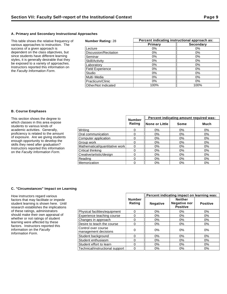## **A. Primary and Secondary Instructional Approaches**

This table shows the relative frequency of various approaches to instruction. The success of a given approach is dependent on the class objectives, but since students have different learning styles, it is generally desirable that they be exposed to a variety of approaches. Instructors reported this information on the Faculty Information Form.

| <b>Number Rating: 28</b> | Percent indicating instructional approach as: |                  |  |  |  |
|--------------------------|-----------------------------------------------|------------------|--|--|--|
|                          | Primary                                       | <b>Secondary</b> |  |  |  |
| Lecture                  | $0\%$                                         | 0%               |  |  |  |
| Discussion/Recitation    | $0\%$                                         | $0\%$            |  |  |  |
| Seminar                  | 0%                                            | $0\%$            |  |  |  |
| Skill/Activity           | 0%                                            | $0\%$            |  |  |  |
| Laboratory               | $0\%$                                         | 0%               |  |  |  |
| <b>Field Experience</b>  | 0%                                            | $0\%$            |  |  |  |
| Studio                   | 0%                                            | 0%               |  |  |  |
| Multi-Media              | 0%                                            | $0\%$            |  |  |  |
| Practicum/Clinic         | $0\%$                                         | $0\%$            |  |  |  |
| Other/Not Indicated      | 100%                                          | 100%             |  |  |  |

### **B. Course Emphases**

| This section shows the degree to                                          |                                | <b>Number</b> | Percent indicating amount required was: |       |       |  |  |
|---------------------------------------------------------------------------|--------------------------------|---------------|-----------------------------------------|-------|-------|--|--|
| which classes in this area expose<br>students to various kinds of         |                                | Rating        | ∥None or Little                         | Some  | Much  |  |  |
| academic activities. Generally,                                           | Writina                        |               | 0%                                      | 0%    | 0%    |  |  |
| proficiency is related to the amount                                      | Oral communication             |               | 0%                                      | 0%    | 0%    |  |  |
| of exposure. Are we giving students                                       | Computer application           |               | $0\%$                                   | 0%    | 0%    |  |  |
| enough opportunity to develop the                                         | Group work                     |               | 0%                                      | $0\%$ | $0\%$ |  |  |
| skills they need after graduation?                                        | Mathematical/quantitative work |               | 0%                                      | $0\%$ | 0%    |  |  |
| Instructors reported this information<br>on the Faculty Information Form. | Critical thinking              |               | 0%                                      | 0%    | $0\%$ |  |  |
|                                                                           | Creative/artistic/design       |               | 0%                                      | 0%    | 0%    |  |  |
|                                                                           | Reading                        |               | 0%                                      | $0\%$ | 0%    |  |  |
|                                                                           | Memorization                   |               | 0%                                      | $0\%$ | 0%    |  |  |

## **C. "Circumstances" Impact on Learning**

How instructors regard various factors that may facilitate or impede student learning is shown here. Until research establishes the implications of these ratings, administrators should make their own appraisal of whether or not ratings of student learning were affected by these factors. Instructors reported this information on the Faculty Information Form.

|                                             |                         | Percent indicating impact on learning was: |                                                          |                 |  |
|---------------------------------------------|-------------------------|--------------------------------------------|----------------------------------------------------------|-----------------|--|
|                                             | <b>Number</b><br>Rating | <b>Negative</b>                            | <b>Neither</b><br><b>Negative nor</b><br><b>Positive</b> | <b>Positive</b> |  |
| Physical facilities/equipment               | 0                       | $0\%$                                      | $0\%$                                                    | 0%              |  |
| Experience teaching course                  | 0                       | 0%<br>$0\%$                                |                                                          | 0%              |  |
| Changes in approach                         | 0                       | 0%                                         | 0%                                                       | 0%              |  |
| Desire to teach the course                  | 0                       | $0\%$                                      | $0\%$                                                    | $0\%$           |  |
| Control over course<br>management decisions | 0                       | 0%                                         | 0%                                                       | 0%              |  |
| Student background                          | 0                       | 0%                                         | 0%                                                       | $0\%$           |  |
| Student enthusiasm                          | 0                       | 0%                                         | 0%                                                       | $0\%$           |  |
| Student effort to learn                     | 0                       | $0\%$                                      | 0%                                                       | 0%              |  |
| Technical/instructional support             | 0                       | 0%                                         | 0%                                                       | 0%              |  |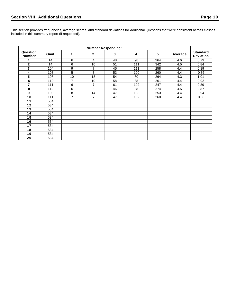This section provides frequencies, average scores, and standard deviations for Additional Questions that were consistent across classes included in this summary report (if requested).

| Question<br><b>Number</b> | Omit | 1              | $\mathbf{2}$   | 3  | 4   | 5   | Average | <b>Standard</b><br><b>Deviation</b> |
|---------------------------|------|----------------|----------------|----|-----|-----|---------|-------------------------------------|
|                           | 14   | 6              | 4              | 48 | 98  | 364 | 4.6     | 0.79                                |
| $\mathbf{2}$              | 14   | 6              | 10             | 51 | 111 | 342 | 4.5     | 0.84                                |
| 3                         | 104  | 9              | 7              | 45 | 111 | 258 | 4.4     | 0.89                                |
| 4                         | 108  | 5              | 8              | 53 | 100 | 260 | 4.4     | 0.86                                |
| 5                         | 108  | 10             | 18             | 54 | 80  | 264 | 4.3     | 1.01                                |
| $\bf 6$                   | 110  | $\overline{7}$ | 10             | 58 | 88  | 261 | 4.4     | 0.92                                |
| $\overline{7}$            | 111  | $\,6$          | 7              | 61 | 102 | 247 | 4.4     | 0.89                                |
| 8                         | 112  | 6              | 8              | 46 | 88  | 274 | 4.5     | 0.87                                |
| 9                         | 109  | 8              | 14             | 47 | 103 | 253 | 4.4     | 0.94                                |
| 10                        | 111  | 7              | $\overline{7}$ | 47 | 102 | 260 | 4.4     | 0.88                                |
| 11                        | 534  |                |                |    |     |     |         |                                     |
| 12                        | 534  |                |                |    |     |     |         |                                     |
| 13                        | 534  |                |                |    |     |     |         |                                     |
| 14                        | 534  |                |                |    |     |     |         |                                     |
| 15                        | 534  |                |                |    |     |     |         |                                     |
| 16                        | 534  |                |                |    |     |     |         |                                     |
| 17                        | 534  |                |                |    |     |     |         |                                     |
| 18                        | 534  |                |                |    |     |     |         |                                     |
| 19                        | 534  |                |                |    |     |     |         |                                     |
| 20                        | 534  |                |                |    |     |     |         |                                     |